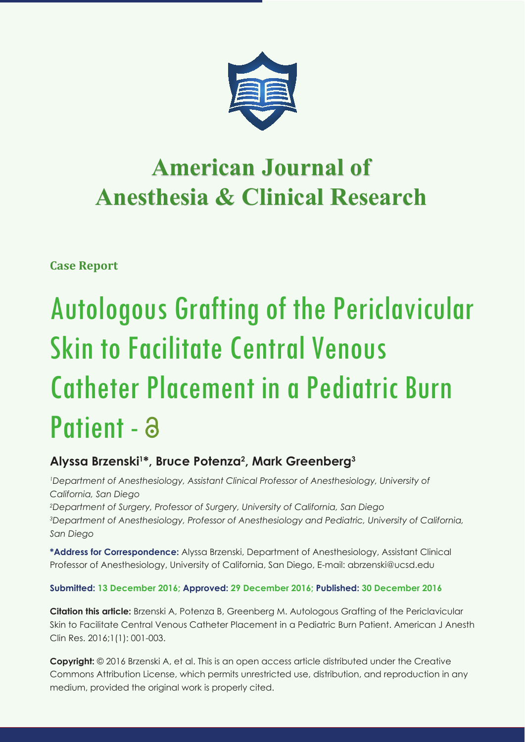

# **American Journal of Anesthesia & Clinical Research Anesthesia & Clinical Research**

**Case Report**

# Autologous Grafting of the Periclavicular Skin to Facilitate Central Venous Catheter Placement in a Pediatric Burn Patient - a

## **Alyssa Brzenski1 \*, Bruce Potenza2 , Mark Greenberg3**

*Department of Anesthesiology, Assistant Clinical Professor of Anesthesiology, University of California, San Diego 2 Department of Surgery, Professor of Surgery, University of California, San Diego*

*3 Department of Anesthesiology, Professor of Anesthesiology and Pediatric, University of California, San Diego*

**\*Address for Correspondence:** Alyssa Brzenski, Department of Anesthesiology, Assistant Clinical Professor of Anesthesiology, University of California, San Diego, E-mail: abrzenski@ucsd.edu

### **Submitted: 13 December 2016; Approved: 29 December 2016; Published: 30 December 2016**

**Citation this article:** Brzenski A, Potenza B, Greenberg M. Autologous Grafting of the Periclavicular Skin to Facilitate Central Venous Catheter Placement in a Pediatric Burn Patient. American J Anesth Clin Res. 2016;1(1): 001-003.

**Copyright:** © 2016 Brzenski A, et al. This is an open access article distributed under the Creative Commons Attribution License, which permits unrestricted use, distribution, and reproduction in any medium, provided the original work is properly cited.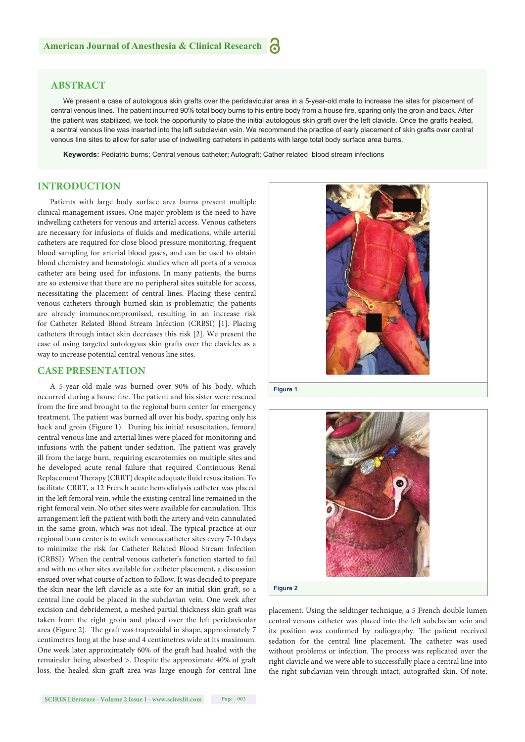#### **ABSTRACT**

We present a case of autologous skin grafts over the periclavicular area in a 5-year-old male to increase the sites for placement of central venous lines. The patient incurred 90% total body burns to his entire body from a house fire, sparing only the groin and back. After the patient was stabilized, we took the opportunity to place the initial autologous skin graft over the left clavicle. Once the grafts healed, a central venous line was inserted into the left subclavian vein. We recommend the practice of early placement of skin grafts over central venous line sites to allow for safer use of indwelling catheters in patients with large total body surface area burns.

**Keywords:** Pediatric burns; Central venous catheter; Autograft; Cather related blood stream infections

#### **INTRODUCTION**

Patients with large body surface area burns present multiple clinical management issues. One major problem is the need to have indwelling catheters for venous and arterial access. Venous catheters are necessary for infusions of fluids and medications, while arterial catheters are required for close blood pressure monitoring, frequent blood sampling for arterial blood gases, and can be used to obtain blood chemistry and hematologic studies when all ports of a venous catheter are being used for infusions. In many patients, the burns are so extensive that there are no peripheral sites suitable for access, necessitating the placement of central lines. Placing these central venous catheters through burned skin is problematic; the patients are already immunocompromised, resulting in an increase risk for Catheter Related Blood Stream Infection (CRBSI) [1]. Placing catheters through intact skin decreases this risk [2]. We present the case of using targeted autologous skin grafts over the clavicles as a way to increase potential central venous line sites.

#### **CASE PRESENTATION**

A 5-year-old male was burned over 90% of his body, which occurred during a house fire. The patient and his sister were rescued from the fire and brought to the regional burn center for emergency treatment. The patient was burned all over his body, sparing only his back and groin (Figure 1). During his initial resuscitation, femoral central venous line and arterial lines were placed for monitoring and infusions with the patient under sedation. The patient was gravely ill from the large burn, requiring escarotomies on multiple sites and he developed acute renal failure that required Continuous Renal Replacement Therapy (CRRT) despite adequate fluid resuscitation. To facilitate CRRT, a 12 French acute hemodialysis catheter was placed in the left femoral vein, while the existing central line remained in the right femoral vein. No other sites were available for cannulation. This arrangement left the patient with both the artery and vein cannulated in the same groin, which was not ideal. The typical practice at our regional burn center is to switch venous catheter sites every 7-10 days to minimize the risk for Catheter Related Blood Stream Infection (CRBSI). When the central venous catheter's function started to fail and with no other sites available for catheter placement, a discussion ensued over what course of action to follow. It was decided to prepare the skin near the left clavicle as a site for an initial skin graft, so a central line could be placed in the subclavian vein. One week after excision and debridement, a meshed partial thickness skin graft was taken from the right groin and placed over the left periclavicular area (Figure 2). The graft was trapezoidal in shape, approximately 7 centimetres long at the base and 4 centimetres wide at its maximum. One week later approximately 60% of the graft had healed with the remainder being absorbed >. Despite the approximate 40% of graft loss, the healed skin graft area was large enough for central line



**Figure 1** 



**Figure 2**

placement. Using the seldinger technique, a 5 French double lumen central venous catheter was placed into the left subclavian vein and its position was confirmed by radiography. The patient received sedation for the central line placement. The catheter was used without problems or infection. The process was replicated over the right clavicle and we were able to successfully place a central line into the right subclavian vein through intact, autografted skin. Of note,